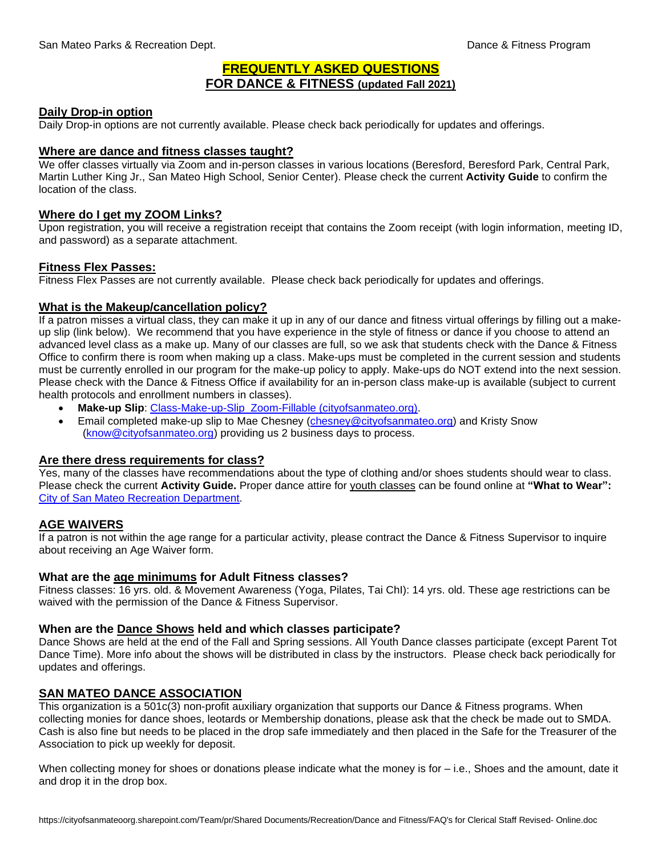# **FREQUENTLY ASKED QUESTIONS FOR DANCE & FITNESS (updated Fall 2021)**

#### **Daily Drop-in option**

Daily Drop-in options are not currently available. Please check back periodically for updates and offerings.

#### **Where are dance and fitness classes taught?**

We offer classes virtually via Zoom and in-person classes in various locations (Beresford, Beresford Park, Central Park, Martin Luther King Jr., San Mateo High School, Senior Center). Please check the current **Activity Guide** to confirm the location of the class.

#### **Where do I get my ZOOM Links?**

Upon registration, you will receive a registration receipt that contains the Zoom receipt (with login information, meeting ID, and password) as a separate attachment.

#### **Fitness Flex Passes:**

Fitness Flex Passes are not currently available. Please check back periodically for updates and offerings.

## **What is the Makeup/cancellation policy?**

If a patron misses a virtual class, they can make it up in any of our dance and fitness virtual offerings by filling out a makeup slip (link below). We recommend that you have experience in the style of fitness or dance if you choose to attend an advanced level class as a make up. Many of our classes are full, so we ask that students check with the Dance & Fitness Office to confirm there is room when making up a class. Make-ups must be completed in the current session and students must be currently enrolled in our program for the make-up policy to apply. Make-ups do NOT extend into the next session. Please check with the Dance & Fitness Office if availability for an in-person class make-up is available (subject to current health protocols and enrollment numbers in classes).

- **Make-up Slip**: [Class-Make-up-Slip\\_Zoom-Fillable \(cityofsanmateo.org\).](https://www.cityofsanmateo.org/DocumentCenter/View/82480/Class-Make-up-Slip_Zoom-Fillable?bidId=)
- Email completed make-up slip to Mae Chesney [\(chesney@cityofsanmateo.org\)](mailto:chesney@cityofsanmateo.org) and Kristy Snow [\(know@cityofsanmateo.org\)](mailto:know@cityofsanmateo.org) providing us 2 business days to process.

#### **Are there dress requirements for class?**

Yes, many of the classes have recommendations about the type of clothing and/or shoes students should wear to class. Please check the current **Activity Guide.** Proper dance attire for youth classes can be found online at **"What to Wear":**  [City of San Mateo Recreation Department.](https://www.cityofsanmateo.org/DocumentCenter/View/36777/What-to-Wear-Dance)

## **AGE WAIVERS**

If a patron is not within the age range for a particular activity, please contract the Dance & Fitness Supervisor to inquire about receiving an Age Waiver form.

#### **What are the age minimums for Adult Fitness classes?**

Fitness classes: 16 yrs. old. & Movement Awareness (Yoga, Pilates, Tai ChI): 14 yrs. old. These age restrictions can be waived with the permission of the Dance & Fitness Supervisor.

## **When are the Dance Shows held and which classes participate?**

Dance Shows are held at the end of the Fall and Spring sessions. All Youth Dance classes participate (except Parent Tot Dance Time). More info about the shows will be distributed in class by the instructors. Please check back periodically for updates and offerings.

## **SAN MATEO DANCE ASSOCIATION**

This organization is a 501c(3) non-profit auxiliary organization that supports our Dance & Fitness programs. When collecting monies for dance shoes, leotards or Membership donations, please ask that the check be made out to SMDA. Cash is also fine but needs to be placed in the drop safe immediately and then placed in the Safe for the Treasurer of the Association to pick up weekly for deposit.

When collecting money for shoes or donations please indicate what the money is for  $-$  i.e., Shoes and the amount, date it and drop it in the drop box.